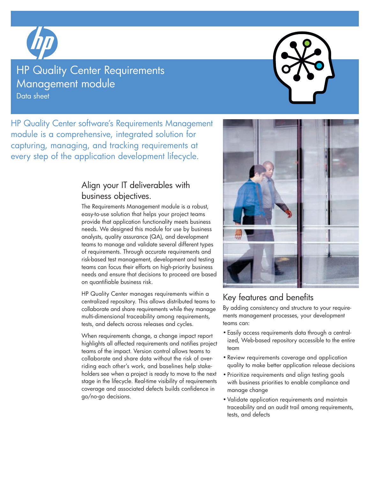

# **HP Quality Center Requirements** Management module

Data sheet

HP Quality Center software's Requirements Management module is a comprehensive, integrated solution for capturing, managing, and tracking requirements at every step of the application development lifecycle.

## Align your IT deliverables with business objectives.

The Requirements Management module is a robust, easy-to-use solution that helps your project teams provide that application functionality meets business needs. We designed this module for use by business analysts, quality assurance (QA), and development teams to manage and validate several different types of requirements. Through accurate requirements and risk-based test management, development and testing teams can focus their efforts on high-priority business needs and ensure that decisions to proceed are based on quantifiable business risk.

HP Quality Center manages requirements within a centralized repository. This allows distributed teams to collaborate and share requirements while they manage multi-dimensional traceability among requirements, tests, and defects across releases and cycles.

When requirements change, a change impact report highlights all affected requirements and notifies project teams of the impact. Version control allows teams to collaborate and share data without the risk of overriding each other's work, and baselines help stakeholders see when a project is ready to move to the next stage in the lifecycle. Real-time visibility of requirements coverage and associated defects builds confidence in go/no-go decisions.



## Key features and benefits

By adding consistency and structure to your requirements management processes, your development teams can:

- Easily access requirements data through a centralized, Web-based repository accessible to the entire team
- • Review requirements coverage and application quality to make better application release decisions
- • Prioritize requirements and align testing goals with business priorities to enable compliance and manage change
- • Validate application requirements and maintain traceability and an audit trail among requirements, tests, and defects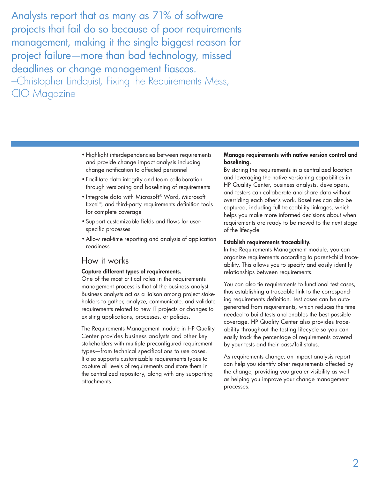Analysts report that as many as 71% of software projects that fail do so because of poor requirements management, making it the single biggest reason for project failure—more than bad technology, missed deadlines or change management fiascos. –Christopher Lindquist, Fixing the Requirements Mess, CIO Magazine

- Highlight interdependencies between requirements and provide change impact analysis including change notification to affected personnel
- • Facilitate data integrity and team collaboration through versioning and baselining of requirements
- Integrate data with Microsoft® Word, Microsoft Excel®, and third-party requirements definition tools for complete coverage
- • Support customizable fields and flows for userspecific processes
- Allow real-time reporting and analysis of application readiness

## How it works

### Capture different types of requirements.

One of the most critical roles in the requirements management process is that of the business analyst. Business analysts act as a liaison among project stakeholders to gather, analyze, communicate, and validate requirements related to new IT projects or changes to existing applications, processes, or policies.

The Requirements Management module in HP Quality Center provides business analysts and other key stakeholders with multiple preconfigured requirement types—from technical specifications to use cases. It also supports customizable requirements types to capture all levels of requirements and store them in the centralized repository, along with any supporting attachments.

### Manage requirements with native version control and baselining.

By storing the requirements in a centralized location and leveraging the native versioning capabilities in HP Quality Center, business analysts, developers, and testers can collaborate and share data without overriding each other's work. Baselines can also be captured, including full traceability linkages, which helps you make more informed decisions about when requirements are ready to be moved to the next stage of the lifecycle.

## Establish requirements traceability.

In the Requirements Management module, you can organize requirements according to parent-child traceability. This allows you to specify and easily identify relationships between requirements.

You can also tie requirements to functional test cases, thus establishing a traceable link to the corresponding requirements definition. Test cases can be autogenerated from requirements, which reduces the time needed to build tests and enables the best possible coverage. HP Quality Center also provides traceability throughout the testing lifecycle so you can easily track the percentage of requirements covered by your tests and their pass/fail status.

As requirements change, an impact analysis report can help you identify other requirements affected by the change, providing you greater visibility as well as helping you improve your change management processes.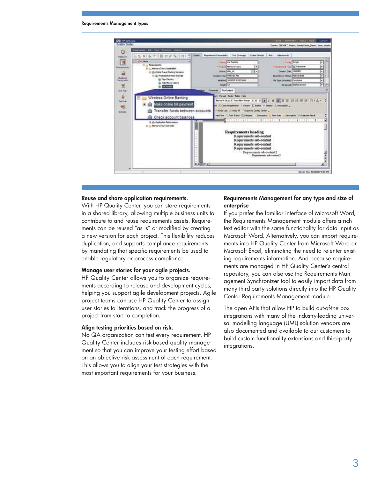#### Requirements Management types



### Reuse and share application requirements.

With HP Quality Center, you can store requirements in a shared library, allowing multiple business units to contribute to and reuse requirements assets. Requirements can be reused "as is" or modified by creating a new version for each project. This flexibility reduces duplication, and supports compliance requirements by mandating that specific requirements be used to enable regulatory or process compliance.

#### Manage user stories for your agile projects.

HP Quality Center allows you to organize requirements according to release and development cycles, helping you support agile development projects. Agile project teams can use HP Quality Center to assign user stories to iterations, and track the progress of a project from start to completion.

#### Align testing priorities based on risk.

No QA organization can test every requirement. HP Quality Center includes risk-based quality management so that you can improve your testing effort based on an objective risk assessment of each requirement. This allows you to align your test strategies with the most important requirements for your business.

### Requirements Management for any type and size of enterprise

If you prefer the familiar interface of Microsoft Word, the Requirements Management module offers a rich text editor with the same functionality for data input as Microsoft Word. Alternatively, you can import requirements into HP Quality Center from Microsoft Word or Microsoft Excel, eliminating the need to re-enter existing requirements information. And because requirements are managed in HP Quality Center's central repository, you can also use the Requirements Management Synchronizer tool to easily import data from many third-party solutions directly into the HP Quality Center Requirements Management module.

The open APIs that allow HP to build out-of-the box integrations with many of the industry-leading universal modelling language (UML) solution vendors are also documented and available to our customers to build custom functionality extensions and third-party integrations.